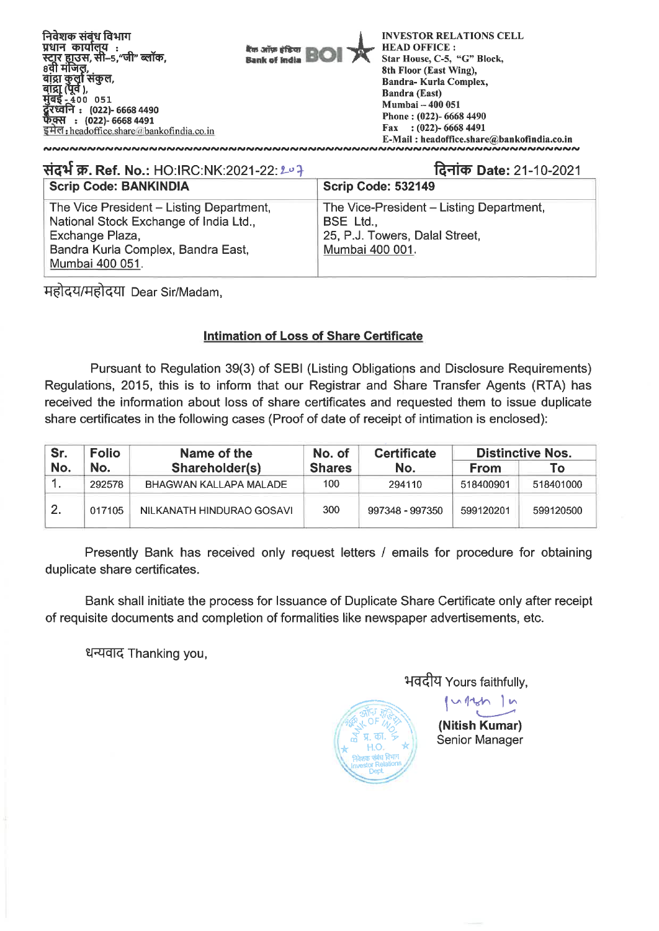

| संदर्भ क्र. Ref. No.: HO:IRC:NK:2021-22: 207                                                                                                                   | दिनांक Date: 21-10-2021                                                                                    |
|----------------------------------------------------------------------------------------------------------------------------------------------------------------|------------------------------------------------------------------------------------------------------------|
| <b>Scrip Code: BANKINDIA</b>                                                                                                                                   | <b>Scrip Code: 532149</b>                                                                                  |
| The Vice President – Listing Department,<br>National Stock Exchange of India Ltd.,<br>Exchange Plaza,<br>Bandra Kurla Complex, Bandra East,<br>Mumbai 400 051. | The Vice-President – Listing Department,<br>BSE Ltd.,<br>25, P.J. Towers, Dalal Street,<br>Mumbai 400 001. |

महोदय/महोदया Dear Sir/Madam,

## **Intimation of Loss of Share Certificate**

Pursuant to Regulation 39(3) of SEBI (Listing Obligations and Disclosure Requirements) Regulations, 2015, this is to inform that our Registrar and Share Transfer Agents (RTA) has received the information about loss of share certificates and requested them to issue duplicate share certificates in the following cases (Proof of date of receipt of intimation is enclosed):

| Sr. | <b>Folio</b><br>Name of the |                           | No. of        |                 | <b>Distinctive Nos.</b> |           |  |
|-----|-----------------------------|---------------------------|---------------|-----------------|-------------------------|-----------|--|
| No. | No.                         | Shareholder(s)            | <b>Shares</b> | No.             | <b>From</b>             | To:       |  |
| . . | 292578                      | BHAGWAN KALLAPA MALADE    | 100           | 294110          | 518400901               | 518401000 |  |
| 2.  | 017105                      | NILKANATH HINDURAO GOSAVI | 300           | 997348 - 997350 | 599120201               | 599120500 |  |

Presently Bank has received only request letters / emails for procedure for obtaining duplicate share certificates.

Bank shall initiate the process for Issuance of Duplicate Share Certificate only after receipt of requisite documents and completion of formalities like newspaper advertisements, etc.

धन्यवाद Thanking you,

**1-1-4-aZi** Yours faithfully,



**(Nitish Kumar)**  Senior Manager

 $v111$  1 n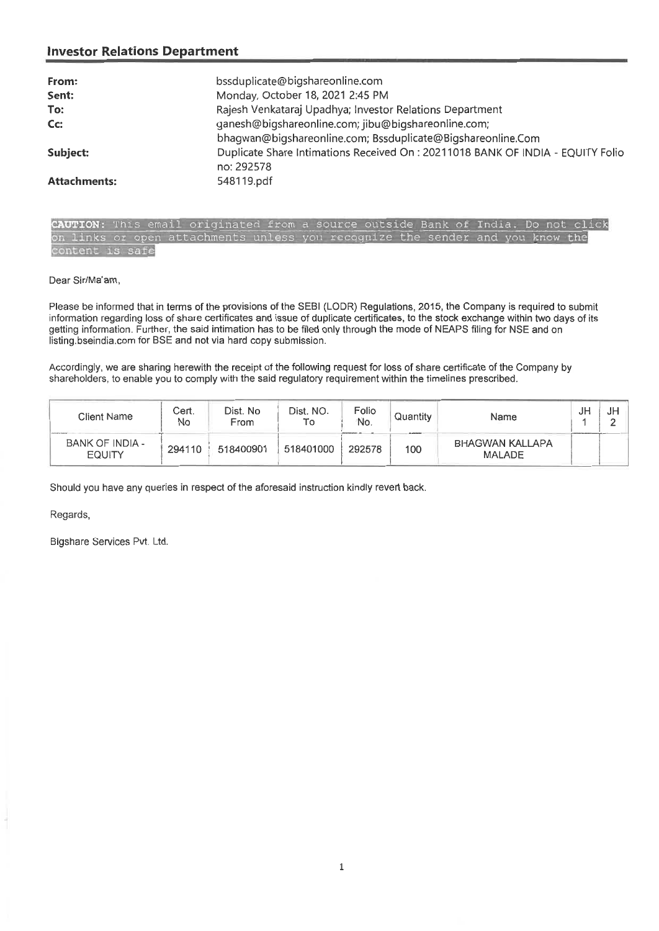### **Investor Relations Department**

| From:               | bssduplicate@bigshareonline.com                                                                                    |
|---------------------|--------------------------------------------------------------------------------------------------------------------|
| Sent:               | Monday, October 18, 2021 2:45 PM                                                                                   |
| To:                 | Rajesh Venkataraj Upadhya; Investor Relations Department                                                           |
| Cc:                 | ganesh@bigshareonline.com; jibu@bigshareonline.com;<br>bhagwan@bigshareonline.com; Bssduplicate@Bigshareonline.Com |
| Subject:            | Duplicate Share Intimations Received On: 20211018 BANK OF INDIA - EQUITY Folio<br>no: 292578                       |
| <b>Attachments:</b> | 548119.pdf                                                                                                         |

CAUTION: This email originated from a source outside Bank of India. Do not click<br>on links or open attachments unless you recognize the sender and you know the attachments unless you recognize the sender and you know the ontent is safe

Dear Sir/Ma'am,

Please be informed that in terms of the provisions of the SEBI (LODR) Regulations, 2015, the Company is required to submit information regarding loss of share certificates and issue of duplicate certificates, to the stock exchange within two days of its getting information. Further, the said intimation has to be filed only through the mode of NEAPS filing for NSE and on listing.bseindia.com for BSE and not via hard copy submission.

Accordingly, we are sharing herewith the receipt of the following request for loss of share certificate of the Company by shareholders, to enable you to comply with the said regulatory requirement within the timelines prescribed.

| Client Name                      | Cert.<br>No | Dist. No<br>From | Dist. NO.<br>Τо | Folio<br>No. | Quantity<br>The Atlanta Mar | Name                                    | JF | JH |
|----------------------------------|-------------|------------------|-----------------|--------------|-----------------------------|-----------------------------------------|----|----|
| BANK OF INDIA -<br><b>EQUITY</b> | 294110      | 518400901        | 518401000       | 292578       | 100                         | <b>BHAGWAN KALLAPA</b><br><b>MALADE</b> |    |    |

Should you have any queries in respect of the aforesaid instruction kindly revert back.

Regards,

Bigshare Services Pvt. Ltd.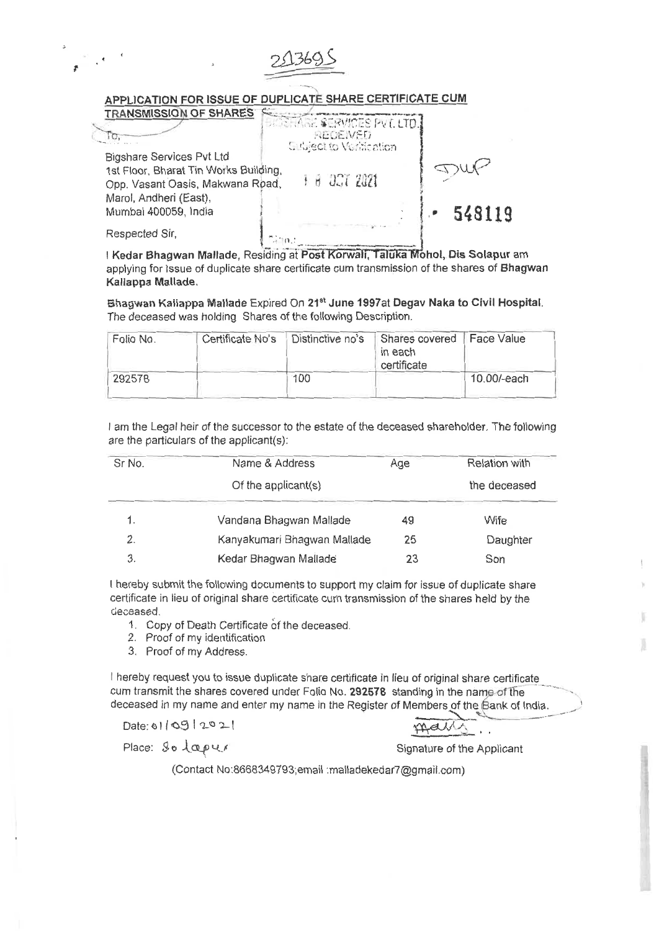#### **APPLICATION FOR ISSUE OF DUPLICATE SHARE CERTIFICATE CUM**

| <b>TRANSMISSION OF SHARES</b>         | SHARE SERVICES PVT. LTD.                          |        |
|---------------------------------------|---------------------------------------------------|--------|
|                                       | <b>RECEIVED</b><br><b>Subject to Verification</b> |        |
| Bigshare Services Pvt Ltd             |                                                   |        |
| 1st Floor, Bharat Tin Works Building, |                                                   |        |
| Opp. Vasant Oasis, Makwana Road,      | + 6 3CT 2021                                      |        |
| Marol, Andheri (East),                |                                                   |        |
| Mumbai 400059, India                  |                                                   | 548119 |
| Respected Sir,                        |                                                   |        |

2,1369.5

I Kedar Bhagwan Mallade, Residing at Post Korwali, Taluka Mohol, Dis Solapur am applying for Issue of duplicate share certificate cum transmission of the shares of **Bhagwan Kallappa Mallade.** 

**Bhagwan Kaliappa Ma!lade** Expired On **218tJune 1997at Degav Naka to Civil Hospital.**  The deceased was holding Shares of the following Description.

| Folio No. | Certificate No's | Distinctive no's | Shares covered<br>in each<br>certificate | Face Value  |
|-----------|------------------|------------------|------------------------------------------|-------------|
| 292578    |                  | 100              |                                          | 10.00/-each |

I am the Legal heir of the successor to the estate of the deceased shareholder. The following are the particulars of the applicant(s):

| Sr No. | Name & Address              | Age | Relation with |
|--------|-----------------------------|-----|---------------|
|        | Of the applicant( $s$ )     |     | the deceased  |
|        | Vandana Bhagwan Mallade     | 49  | Wife          |
| 2.     | Kanyakumari Bhagwan Mallade | 25  | Daughter      |
| З.     | Kedar Bhagwan Mallade       | 23  | Son           |

I hereby submit the following documents to support my claim for issue of duplicate share certificate in lieu of original share certificate curn transmission of the shares held by the deceased.

1. Copy of Death Certificate of the deceased.

2. Proof of my identification

3. Proof of my Address.

I hereby request you to issue duplicate share certificate in lieu of original share certificate cum transmit the shares covered under Folio No. **292578** standing in the name of the deceased in my name and enter my name in the Register of Members of the Bank of India.<br>Date:  $\sqrt{11.6912921}$ 

Place:  $\mathcal{S} \circ \mathcal{L} \alpha \rho \vee \mathcal{L}$  Signature of the Applicant

(Contact No:8668349793;email :malladekedar7@gmail.com)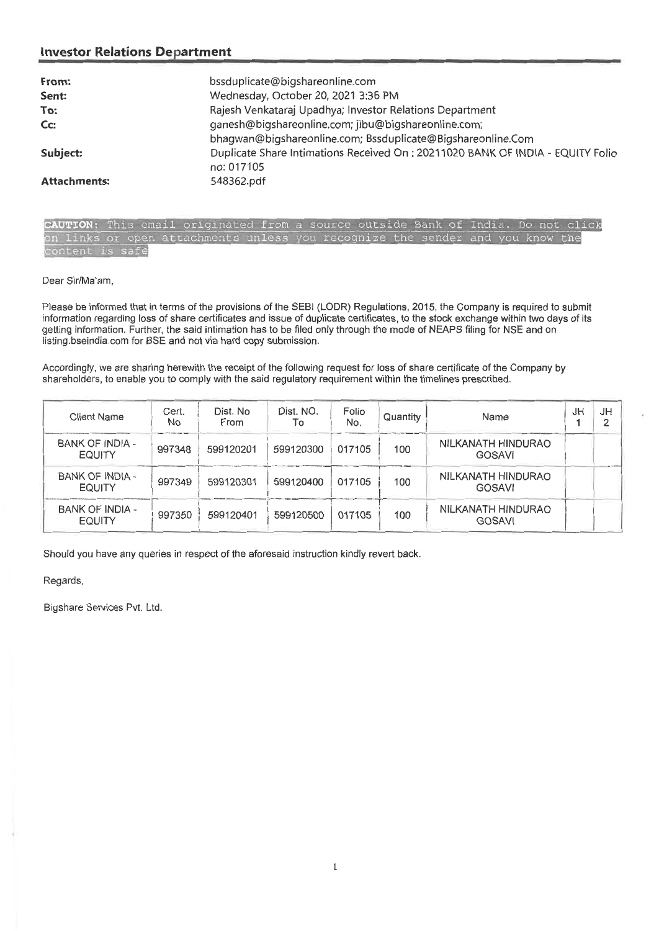### **Investor Relations Department**

| From:               | bssduplicate@bigshareonline.com                                                 |
|---------------------|---------------------------------------------------------------------------------|
| Sent:               | Wednesday, October 20, 2021 3:36 PM                                             |
| To:                 | Rajesh Venkataraj Upadhya; Investor Relations Department                        |
| $Cc$ :              | ganesh@bigshareonline.com; jibu@bigshareonline.com;                             |
|                     | bhagwan@bigshareonline.com; Bssduplicate@Bigshareonline.Com                     |
| Subject:            | Duplicate Share Intimations Received On : 20211020 BANK OF INDIA - EQUITY Folio |
|                     | no: 017105                                                                      |
| <b>Attachments:</b> | 548362.pdf                                                                      |

**UTION:** This email originated from a source outside Bank of India. Do not click on links or open attachments unless you recognize the is safe and you know the

Dear Sir/Ma'am,

Please be informed that in terms of the provisions of the SEBI (LODR) Regulations, 2015, the Company is required to submit information regarding loss of share certificates and issue of duplicate certificates, to the stock exchange within two days of its getting information. Further, the said intimation has to be filed only through the mode of NEAPS filing for NSE and on listing.bseindia.com for BSE and not via hard copy submission.

Accordingly, we are sharing herewith the receipt of the following request for loss of share certificate of the Company by shareholders, to enable you to comply with the said regulatory requirement within the timelines prescribed.

| Client Name                             | Cert.<br>No | Dist. No<br>From | Dist. NO.<br>To | Folio<br>No. | Quantity | Name                                | JH | JH |
|-----------------------------------------|-------------|------------------|-----------------|--------------|----------|-------------------------------------|----|----|
| BANK OF INDIA -<br><b>EQUITY</b>        | 997348      | 599120201        | 599120300       | 017105       | 100      | NILKANATH HINDURAO<br><b>GOSAVI</b> |    |    |
| BANK OF INDIA -<br><b>EQUITY</b>        | 997349      | 599120301        | 599120400       | 017105       | 100      | NILKANATH HINDURAO<br>GOSAVI        |    |    |
| <b>BANK OF INDIA -</b><br><b>EQUITY</b> | 997350      | 599120401        | 599120500       | 017105       | 100      | NILKANATH HINDURAO<br><b>GOSAVI</b> |    |    |

Should you have any queries in respect of the aforesaid instruction kindly revert back.

Regards,

Bigshare Services Pvt. Ltd.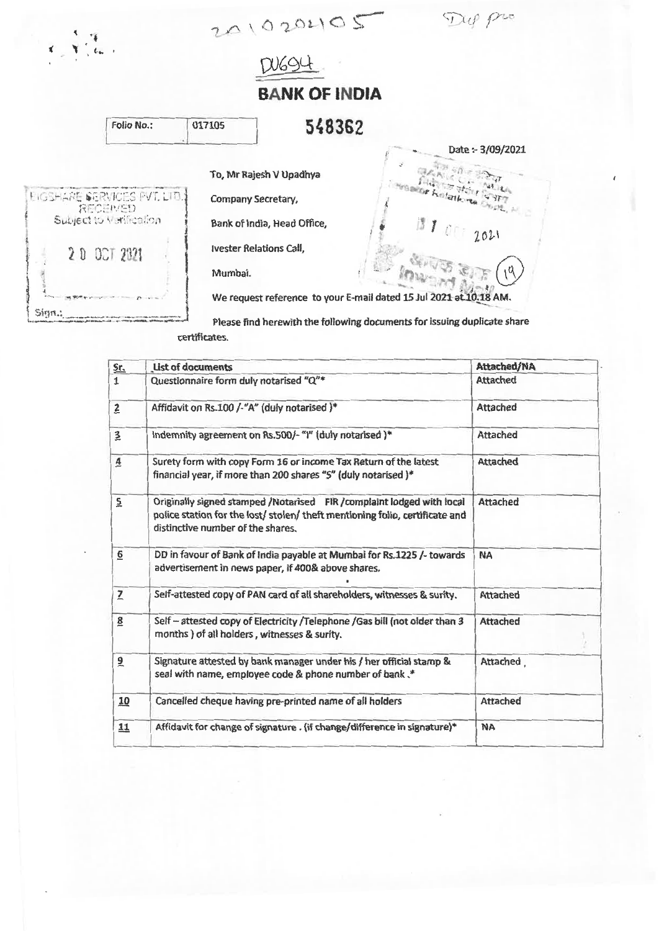$1000$ 

Dup pro

DU694

# **BANK OF INDIA**

| Folio No.:                                      | 017105  | 548362                                                             |
|-------------------------------------------------|---------|--------------------------------------------------------------------|
|                                                 |         | Date: - 3/09/2021<br>To, Mr Rajesh V Upadhya                       |
|                                                 |         |                                                                    |
| <b>EIGSHARE SERVICES PVT. LTD.1</b><br>RECEIVED |         | the Kotatking Over, A<br>Company Secretary,                        |
| Subject to Verification                         |         | Bank of India, Head Office,<br>111012021                           |
| 20 007 2021                                     |         | <b>Ivester Relations Call,</b>                                     |
|                                                 | Mumbai. |                                                                    |
|                                                 |         | We request reference to your E-mail dated 15 Jul 2021 at 10.18 AM. |
| Sign.                                           |         |                                                                    |

Please find herewith the following documents for issuing duplicate share certificates.

| Sr.             | <b>List of documents</b>                                                                                                                                                                   | Attached/NA     |
|-----------------|--------------------------------------------------------------------------------------------------------------------------------------------------------------------------------------------|-----------------|
| $\mathbf{1}$    | Questionnaire form duly notarised "Q"*                                                                                                                                                     | Attached        |
| $\overline{z}$  | Affidavit on Rs.100 /-"A" (duly notarised )*                                                                                                                                               | Attached        |
| $\overline{3}$  | indemnity agreement on Rs.500/- "I" (duly notarised )*                                                                                                                                     | Attached        |
| $\overline{4}$  | Surety form with copy Form 16 or income Tax Return of the latest<br>financial year, if more than 200 shares "S" (duly notarised )*                                                         | Attached        |
| $\overline{5}$  | Originally signed stamped /Notarised FIR /complaint lodged with local<br>police station for the lost/ stolen/ theft mentioning folio, certificate and<br>distinctive number of the shares. | Attached        |
| $\underline{6}$ | DD in favour of Bank of India payable at Mumbai for Rs.1225 /- towards<br>advertisement in news paper, if 400& above shares.                                                               | NA              |
| $\overline{z}$  | Self-attested copy of PAN card of all shareholders, witnesses & surity.                                                                                                                    | Attached        |
| $\underline{8}$ | Self - attested copy of Electricity / Telephone / Gas bill (not older than 3<br>months ) of all holders, witnesses & surity.                                                               | <b>Attached</b> |
| $\overline{a}$  | Signature attested by bank manager under his / her official stamp &<br>seal with name, employee code & phone number of bank.*                                                              | Attached        |
| 10              | Cancelled cheque having pre-printed name of all holders                                                                                                                                    | Attached        |
| 11              | Affidavit for change of signature . (if change/difference in signature)*                                                                                                                   | <b>NA</b>       |
|                 |                                                                                                                                                                                            |                 |